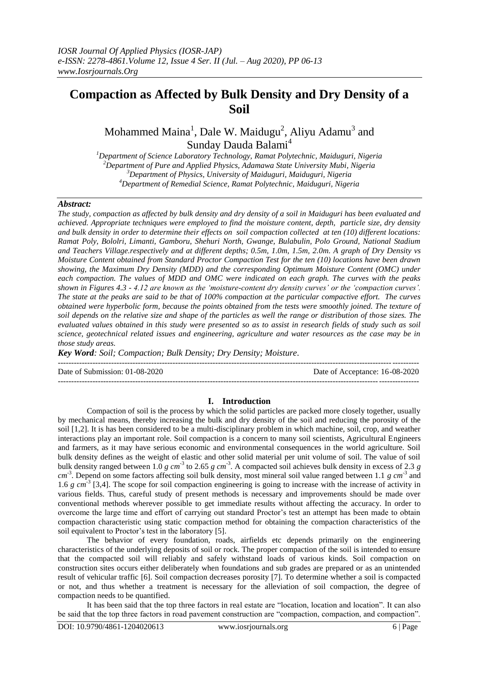# **Compaction as Affected by Bulk Density and Dry Density of a Soil**

Mohammed Maina<sup>1</sup>, Dale W. Maidugu<sup>2</sup>, Aliyu Adamu<sup>3</sup> and Sunday Dauda Balami<sup>4</sup>

*Department of Science Laboratory Technology, Ramat Polytechnic, Maiduguri, Nigeria Department of Pure and Applied Physics, Adamawa State University Mubi, Nigeria Department of Physics, University of Maiduguri, Maiduguri, Nigeria Department of Remedial Science, Ramat Polytechnic, Maiduguri, Nigeria*

### *Abstract:*

*The study, compaction as affected by bulk density and dry density of a soil in Maiduguri has been evaluated and achieved. Appropriate techniques were employed to find the moisture content, depth, particle size, dry density and bulk density in order to determine their effects on soil compaction collected at ten (10) different locations: Ramat Poly, Bololri, Limanti, Gamboru, Shehuri North, Gwange, Bulabulin, Polo Ground, National Stadium and Teachers Village.respectively and at different depths; 0.5m, 1.0m, 1.5m, 2.0m. A graph of Dry Density vs Moisture Content obtained from Standard Proctor Compaction Test for the ten (10) locations have been drawn showing, the Maximum Dry Density (MDD) and the corresponding Optimum Moisture Content (OMC) under each compaction. The values of MDD and OMC were indicated on each graph. The curves with the peaks shown in Figures 4.3 - 4.12 are known as the 'moisture-content dry density curves' or the 'compaction curves'. The state at the peaks are said to be that of 100% compaction at the particular compactive effort. The curves obtained were hyperbolic form, because the points obtained from the tests were smoothly joined. The texture of soil depends on the relative size and shape of the particles as well the range or distribution of those sizes. The evaluated values obtained in this study were presented so as to assist in research fields of study such as soil science, geotechnical related issues and engineering, agriculture and water resources as the case may be in those study areas.*

*Key Word: Soil; Compaction; Bulk Density; Dry Density; Moisture.*

---------------------------------------------------------------------------------------------------------------------------------------

Date of Submission: 01-08-2020 Date of Acceptance: 16-08-2020

### **I. Introduction**

---------------------------------------------------------------------------------------------------------------------------------------

Compaction of soil is the process by which the solid particles are packed more closely together, usually by mechanical means, thereby increasing the bulk and dry density of the soil and reducing the porosity of the soil [1,2]. It is has been considered to be a multi-disciplinary problem in which machine, soil, crop, and weather interactions play an important role. Soil compaction is a concern to many soil scientists, Agricultural Engineers and farmers, as it may have serious economic and environmental consequences in the world agriculture. Soil bulk density defines as the weight of elastic and other solid material per unit volume of soil. The value of soil bulk density ranged between 1.0  $g \, cm^{-3}$  to 2.65  $g \, cm^{-3}$ . A compacted soil achieves bulk density in excess of 2.3  $g$ cm<sup>-3</sup>. Depend on some factors affecting soil bulk density, most mineral soil value ranged between 1.1 *g cm*<sup>-3</sup> and 1.6 *g* cm<sup>-3</sup> [3,4]. The scope for soil compaction engineering is going to increase with the increase of activity in various fields. Thus, careful study of present methods is necessary and improvements should be made over conventional methods wherever possible to get immediate results without affecting the accuracy. In order to overcome the large time and effort of carrying out standard Proctor"s test an attempt has been made to obtain compaction characteristic using static compaction method for obtaining the compaction characteristics of the soil equivalent to Proctor's test in the laboratory [5].

The behavior of every foundation, roads, airfields etc depends primarily on the engineering characteristics of the underlying deposits of soil or rock. The proper compaction of the soil is intended to ensure that the compacted soil will reliably and safely withstand loads of various kinds. Soil compaction on construction sites occurs either deliberately when foundations and sub grades are prepared or as an unintended result of vehicular traffic [6]. Soil compaction decreases porosity [7]. To determine whether a soil is compacted or not, and thus whether a treatment is necessary for the alleviation of soil compaction, the degree of compaction needs to be quantified.

It has been said that the top three factors in real estate are "location, location and location". It can also be said that the top three factors in road pavement construction are "compaction, compaction, and compaction".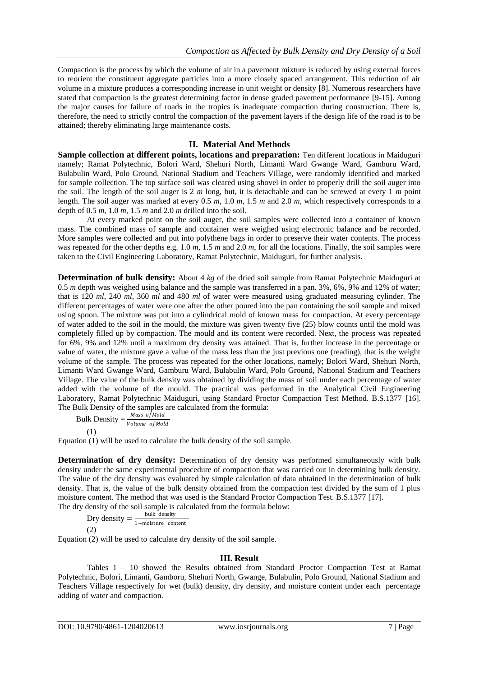Compaction is the process by which the volume of air in a pavement mixture is reduced by using external forces to reorient the constituent aggregate particles into a more closely spaced arrangement. This reduction of air volume in a mixture produces a corresponding increase in unit weight or density [8]. Numerous researchers have stated that compaction is the greatest determining factor in dense graded pavement performance [9-15]. Among the major causes for failure of roads in the tropics is inadequate compaction during construction. There is, therefore, the need to strictly control the compaction of the pavement layers if the design life of the road is to be attained; thereby eliminating large maintenance costs.

## **II. Material And Methods**

**Sample collection at different points, locations and preparation:** Ten different locations in Maiduguri namely; Ramat Polytechnic, Bolori Ward, Shehuri North, Limanti Ward Gwange Ward, Gamburu Ward, Bulabulin Ward, Polo Ground, National Stadium and Teachers Village, were randomly identified and marked for sample collection. The top surface soil was cleared using shovel in order to properly drill the soil auger into the soil. The length of the soil auger is 2 *m* long, but, it is detachable and can be screwed at every 1 *m* point length. The soil auger was marked at every 0.5 *m*, 1.0 *m*, 1.5 *m* and 2.0 *m*, which respectively corresponds to a depth of  $0.5$   $m$ ,  $1.0$   $m$ ,  $1.5$   $m$  and  $2.0$   $m$  drilled into the soil.

At every marked point on the soil auger, the soil samples were collected into a container of known mass. The combined mass of sample and container were weighed using electronic balance and be recorded. More samples were collected and put into polythene bags in order to preserve their water contents. The process was repeated for the other depths e.g. 1.0 *m*, 1.5 *m* and 2.0 *m*, for all the locations. Finally, the soil samples were taken to the Civil Engineering Laboratory, Ramat Polytechnic, Maiduguri, for further analysis.

**Determination of bulk density:** About 4 *kg* of the dried soil sample from Ramat Polytechnic Maiduguri at 0.5 *m* depth was weighed using balance and the sample was transferred in a pan. 3%, 6%, 9% and 12% of water; that is 120 *ml*, 240 *ml*, 360 *ml* and 480 *ml* of water were measured using graduated measuring cylinder. The different percentages of water were one after the other poured into the pan containing the soil sample and mixed using spoon. The mixture was put into a cylindrical mold of known mass for compaction. At every percentage of water added to the soil in the mould, the mixture was given twenty five (25) blow counts until the mold was completely filled up by compaction. The mould and its content were recorded. Next, the process was repeated for 6%, 9% and 12% until a maximum dry density was attained. That is, further increase in the percentage or value of water, the mixture gave a value of the mass less than the just previous one (reading), that is the weight volume of the sample. The process was repeated for the other locations, namely; Bolori Ward, Shehuri North, Limanti Ward Gwange Ward, Gamburu Ward, Bulabulin Ward, Polo Ground, National Stadium and Teachers Village. The value of the bulk density was obtained by dividing the mass of soil under each percentage of water added with the volume of the mould. The practical was performed in the Analytical Civil Engineering Laboratory, Ramat Polytechnic Maiduguri, using Standard Proctor Compaction Test Method. B.S.1377 [16]. The Bulk Density of the samples are calculated from the formula:

Bulk Density  $=$   $\frac{Mass\ of\ Mold}{Volume\ of\ Mold}$ (1)

Equation (1) will be used to calculate the bulk density of the soil sample.

**Determination of dry density:** Determination of dry density was performed simultaneously with bulk density under the same experimental procedure of compaction that was carried out in determining bulk density. The value of the dry density was evaluated by simple calculation of data obtained in the determination of bulk density. That is, the value of the bulk density obtained from the compaction test divided by the sum of 1 plus moisture content. The method that was used is the Standard Proctor Compaction Test. B.S.1377 [17]. The dry density of the soil sample is calculated from the formula below:

Dry density  $=$   $\frac{\text{bulk density}}{1 + \text{m} \times \text{m} \times \text{m}}$ 1+moisture content (2)

Equation (2) will be used to calculate dry density of the soil sample.

### **III. Result**

Tables 1 – 10 showed the Results obtained from Standard Proctor Compaction Test at Ramat Polytechnic, Bolori, Limanti, Gamboru, Shehuri North, Gwange, Bulabulin, Polo Ground, National Stadium and Teachers Village respectively for wet (bulk) density, dry density, and moisture content under each percentage adding of water and compaction.

DOI: 10.9790/4861-1204020613 www.iosrjournals.org 7 | Page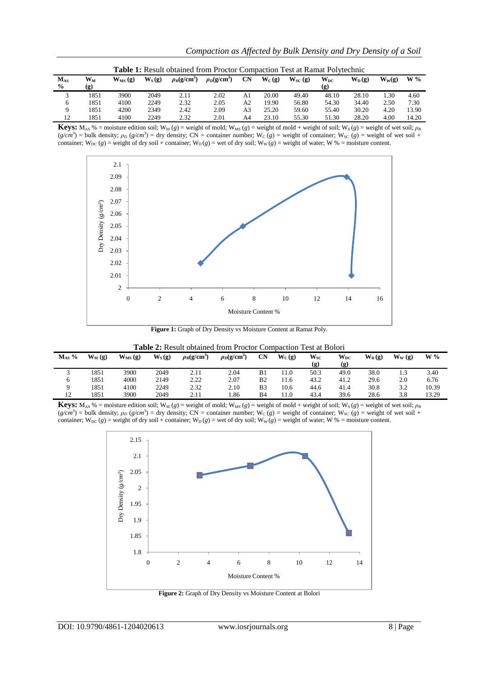|                              | <b>Table 1:</b> Result obtained from Proctor Compaction Test at Ramat Polytechnic |              |          |                  |                  |                |          |                      |                                         |                     |          |       |  |  |
|------------------------------|-----------------------------------------------------------------------------------|--------------|----------|------------------|------------------|----------------|----------|----------------------|-----------------------------------------|---------------------|----------|-------|--|--|
| $M_{AS}$<br>$\%$             | $\mathbf{W_{M}}$<br>(g)                                                           | $W_{MS}$ (g) | $W_S(g)$ | $\rho_B(g/cm^3)$ | $\rho_D(g/cm^3)$ | <b>CN</b>      | $W_C(g)$ | $W_{SC}(\mathbf{g})$ | $W_{DC}$<br>$\left( \mathbf{g} \right)$ | $W_{D}(\mathbf{g})$ | $W_W(g)$ | $W\%$ |  |  |
| $\mathbf{\overline{3}}$<br>J | 1851                                                                              | 3900         | 2049     | 2.11             | 2.02             | A <sub>1</sub> | 20.00    | 49.40                | 48.10                                   | 28.10               | . 30     | 4.60  |  |  |
| 6                            | 1851                                                                              | 4100         | 2249     | 2.32             | 2.05             | A2             | 19.90    | 56.80                | 54.30                                   | 34.40               | 2.50     | 7.30  |  |  |
| 9                            | 1851                                                                              | 4200         | 2349     | 2.42             | 2.09             | A3             | 25.20    | 59.60                | 55.40                                   | 30.20               | 4.20     | 13.90 |  |  |
| 12                           | 1851                                                                              | 4100         | 2249     | 2.32             | 2.01             | A4             | 23.10    | 55.30                | 51.30                                   | 28.20               | 4.00     | 14.20 |  |  |

**Keys:** M<sub>AS</sub> % = moisture edition soil; W<sub>M</sub> (*g*) = weight of mold; W<sub>MS</sub> (*g*) = weight of mold + weight of soil; W<sub>S</sub> (*g*) = weight of wet soil;  $\rho_B$  $(g/cm^3)$  = bulk density;  $\rho_D$  ( $g/cm^3$ ) = dry density; CN = container number; W<sub>C</sub> ( $g$ ) = weight of container; W<sub>SC</sub> ( $g$ ) = weight of wet soil + container;  $W_{DC}(g)$  = weight of dry soil + container;  $W_D(g)$  = wei of dry soil;  $W_W(g)$  = weight of water; W % = moisture content.



**Figure 1:** Graph of Dry Density vs Moisture Content at Ramat Poly.

**Table 2:** Result obtained from Proctor Compaction Test at Bolori

| $M_{AS}$ % | $W_M(g)$ | $W_{MS}$ (g) | $W_S(g)$ | $\rho_B(g/cm^3)$ | $\rho_D$ (g/cm <sup>3</sup> | CN             | $W_C(g)$ | $W_{SC}$ | $\mathbf{W}_{\text{DC}}$ | $W_{D}(g)$ | $\mathbf{W}_{\mathbf{W}}\left( \mathbf{g}\right)$ | $W\%$ |
|------------|----------|--------------|----------|------------------|-----------------------------|----------------|----------|----------|--------------------------|------------|---------------------------------------------------|-------|
|            |          |              |          |                  |                             |                |          | (g)      | (g)                      |            |                                                   |       |
|            | 1851     | 3900         | 2049     | 2.11             | 2.04                        | B1             | 11.0     | 50.3     | 49.0                     | 38.0       |                                                   | 3.40  |
| 6          | 1851     | 4000         | 2149     | 2.22             | 2.07                        | B <sub>2</sub> | 11.6     | 43.2     | 41.2                     | 29.6       | 2.0                                               | 6.76  |
|            | 1851     | 4100         | 2249     | 2.32             | 2.10                        | B3             | 10.6     | 44.6     | 41.4                     | 30.8       | 3.2                                               | 10.39 |
| 12         | 1851     | 3900         | 2049     | 2.11             | . 86                        | B4             | 11.0     | 43.4     | 39.6                     | 28.6       | 3.8                                               | 13.29 |

**Keys:** M<sub>AS</sub> % = moisture edition soil; W<sub>M</sub> (*g*) = weight of mold; W<sub>MS</sub> (*g*) = weight of mold + weight of soil; W<sub>S</sub> (*g*) = weight of wet soil;  $\rho_B$  $(g/cm<sup>3</sup>)$  = bulk density;  $\rho_D$  ( $g/cm<sup>3</sup>$ ) = dry density; CN = container number; W<sub>C</sub> ( $g$ ) = weight of container; W<sub>SC</sub> ( $g$ ) = weight of wet soil + container;  $W_{DC}(g)$  = weight of dry soil + container;  $W_D(g)$  = wei of dry soil;  $W_W(g)$  = weight of water; W % = moisture content.



**Figure 2:** Graph of Dry Density vs Moisture Content at Bolori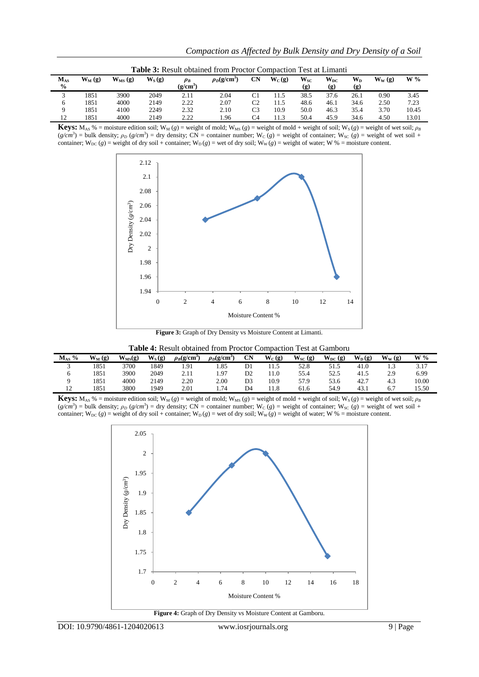|                           | <b>Table 3:</b> Result obtained from Proctor Compaction Test at Limanti |              |          |                     |                  |    |          |                 |                                 |                                  |                                                  |       |  |  |
|---------------------------|-------------------------------------------------------------------------|--------------|----------|---------------------|------------------|----|----------|-----------------|---------------------------------|----------------------------------|--------------------------------------------------|-------|--|--|
| $M_{AS}$<br>$\frac{6}{9}$ | $W_M(g)$                                                                | $W_{MS}$ (g) | $W_S(g)$ | $\rho_B$<br>(g/cm°) | $\rho_D(g/cm^3)$ | CN | $W_C(g)$ | $W_{SC}$<br>(g) | $\mathbf{W}_{\text{DC}}$<br>(g) | $\mathbf{W}_{\mathbf{D}}$<br>(g) | $\mathbf{W}_{\mathbf{W}}\left(\mathbf{g}\right)$ | $W\%$ |  |  |
| $\sim$<br>◡               | 1851                                                                    | 3900         | 2049     | 2.11                | 2.04             | C1 |          | 38.5            | 37.6                            | 26.1                             | 0.90                                             | 3.45  |  |  |
| 6                         | 1851                                                                    | 4000         | 2149     | 2.22                | 2.07             | C2 | 11.5     | 48.6            | 46.1                            | 34.6                             | 2.50                                             | 7.23  |  |  |
|                           | 1851                                                                    | 4100         | 2249     | 2.32                | 2.10             | C3 | 10.9     | 50.0            | 46.3                            | 35.4                             | 3.70                                             | 10.45 |  |  |
| 12                        | 1851                                                                    | 4000         | 2149     | 2.22                | . 96             | C4 | 11.3     | 50.4            | 45.9                            | 34.6                             | 4.50                                             | 13.01 |  |  |

**Keys:** M<sub>AS</sub> % = moisture edition soil; W<sub>M</sub> (*g*) = weight of mold; W<sub>MS</sub> (*g*) = weight of mold + weight of soil; W<sub>S</sub> (*g*) = weight of wet soil;  $\rho_B$  $(g/cm^3)$  = bulk density;  $\rho_D$  ( $g/cm^3$ ) = dry density; CN = container number; W<sub>C</sub> ( $g$ ) = weight of container; W<sub>SC</sub> ( $g$ ) = weight of wet soil + container;  $W_{DC}(g)$  = weight of dry soil + container;  $W_D(g)$  = wet of dry soil;  $W_W(g)$  = weight of water; W % = moisture content.



**Figure 3:** Graph of Dry Density vs Moisture Content at Limanti.

| Table 4: Result obtained from Proctor Compaction Test at Gamboru |
|------------------------------------------------------------------|
|------------------------------------------------------------------|

|                                             |           |             |          |                             |                  |                |          | <u>oombwydd i yw me omno o m</u> |             |          |          |       |
|---------------------------------------------|-----------|-------------|----------|-----------------------------|------------------|----------------|----------|----------------------------------|-------------|----------|----------|-------|
| $\frac{0}{0}$<br>$\mathbf{M}_{\mathrm{AS}}$ | $W_M$ (g) | $W_{MS}(g)$ | $W_S(g)$ | $\rho_B$ (g/cm <sup>3</sup> | $\rho_D(g/cm^3)$ | <b>CN</b>      | $W_C(g)$ | $W_{SC}(g)$                      | $W_{DC}(g)$ | $W_D(g)$ | $W_W(g)$ | $W\%$ |
|                                             | 1851      | 3700        | 1849     | 1.91                        | .85              | D1             | 11.5     | 52.8                             | 51.5        | 41.0     | 1.3      | 3.17  |
|                                             | 1851      | 3900        | 2049     | 2.11                        | . 97             | D <sub>2</sub> | 11.0     | 55.4                             | 52.5        | 41.5     | 2.9      | 6.99  |
|                                             | 1851      | 4000        | 2149     | 2.20                        | 2.00             | D <sub>3</sub> | 10.9     | 57.9                             | 53.6        | 42.7     | 4.3      | 10.00 |
| 1 ລ<br>$\overline{1}$                       | 1851      | 3800        | 1949     | 2.01                        | .74              | D4             | 11.8     | 61.6                             | 54.9        | 43.1     | 6.7      | 15.50 |

**Keys:** M<sub>AS</sub> % = moisture edition soil; W<sub>M</sub> (*g*) = weight of mold; W<sub>MS</sub> (*g*) = weight of mold + weight of soil; W<sub>S</sub> (*g*) = weight of wet soil;  $\rho_B$  $(g/cm^3)$  = bulk density;  $\rho_D$  ( $g/cm^3$ ) = dry density; CN = container number; W<sub>C</sub> ( $g$ ) = weight of container; W<sub>SC</sub> ( $g$ ) = weight of wet soil + container;  $W_{DC}(g)$  = weight of dry soil + container;  $W_D(g)$  = wet of dry soil;  $W_W(g)$  = weight of water; W % = moisture content.



**Figure 4:** Graph of Dry Density vs Moisture Content at Gamboru.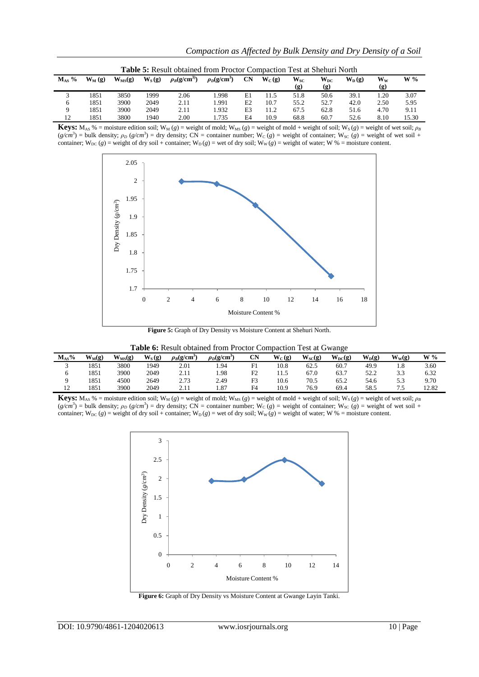| <b>Table 5:</b> Result obtained from Proctor Compaction Test at Shehuri North |           |             |          |                  |                  |                |          |                 |                                   |            |                                  |       |  |
|-------------------------------------------------------------------------------|-----------|-------------|----------|------------------|------------------|----------------|----------|-----------------|-----------------------------------|------------|----------------------------------|-------|--|
| $M_{AS}$ %                                                                    | $W_M$ (g) | $W_{MS}(g)$ | $W_S(g)$ | $\rho_B(g/cm^3)$ | $\rho_D(g/cm^3)$ | CN             | $W_C(g)$ | $W_{SC}$<br>(g) | $\mathbf{W}_{\mathbf{DC}}$<br>(g) | $W_{D}(q)$ | $\mathbf{W}_{\mathbf{W}}$<br>(g) | $W\%$ |  |
|                                                                               |           |             |          |                  |                  |                |          |                 |                                   |            |                                  |       |  |
|                                                                               | 1851      | 3850        | 1999     | 2.06             | .998             | E1             | 11.5     | 51.8            | 50.6                              | 39.1       | 1.20                             | 3.07  |  |
| 6                                                                             | 1851      | 3900        | 2049     | 2.11             | .991             | E2             | 10.7     | 55.2            | 52.7                              | 42.0       | 2.50                             | 5.95  |  |
| 9                                                                             | 1851      | 3900        | 2049     | 2.11             | .932             | E <sub>3</sub> | 11.2     | 67.5            | 62.8                              | 51.6       | 4.70                             | 9.11  |  |
| 12                                                                            | 1851      | 3800        | 1940     | 2.00             | .735             | F <sub>4</sub> | 10.9     | 68.8            | 60.7                              | 52.6       | 8.10                             | 15.30 |  |

**Keys:** M<sub>AS</sub> % = moisture edition soil; W<sub>M</sub> (*g*) = weight of mold; W<sub>MS</sub> (*g*) = weight of mold + weight of soil; W<sub>S</sub> (*g*) = weight of wet soil;  $\rho_B$  $(g/cm^3)$  = bulk density;  $\rho_D$  ( $g/cm^3$ ) = dry density; CN = container number; W<sub>C</sub> ( $g$ ) = weight of container; W<sub>SC</sub> ( $g$ ) = weight of wet soil + container;  $W_{DC}(g)$  = weight of dry soil + container;  $W_D(g)$  = wet of dry soil;  $W_W(g)$  = weight of water; W % = moisture content.



Figure 5: Graph of Dry Density vs Moisture Content at Shehuri North.

| Table 6: Result obtained from Proctor Compaction Test at Gwange |
|-----------------------------------------------------------------|
|-----------------------------------------------------------------|

| $M_{AS}$ %     | $W_M(g)$ | $W_{MS}(g)$ | $W_S(g)$ | $\rho_B(g/cm^3)$ | $\rho_D({\rm g/cm^2})$ | <b>CN</b>      | $W_C(g)$               | $W_{SC}(g)$ | $W_{DC}(g)$ | $W_{D}(g)$ | $W_W(g)$ | $W\%$ |
|----------------|----------|-------------|----------|------------------|------------------------|----------------|------------------------|-------------|-------------|------------|----------|-------|
|                | 1851     | 3800        | 1949     | 2.01             | . 94                   | F1             | 10.8                   | 62.5        | 60.7        | 49.9       | 1.8      | 3.60  |
|                | 1851     | 3900        | 2049     | 2.11             | 1.98                   | F <sub>2</sub> | 1 <sup>5</sup><br>11.J | 67.0        | 63.7        | 52.2       | 3.3      | 6.32  |
|                | 1851     | 4500        | 2649     | 2.73             | 2.49                   | F <sub>3</sub> | 10.6                   | 70.5        | 65.2        | 54.6       | 5.3      | 9.70  |
| $\overline{1}$ | 1851     | 3900        | 2049     | <u>.</u>         | 1.87                   | F <sub>4</sub> | 10.9                   | 76.9        | 69.4        | 58.5       | .        | 12.82 |

**Keys:** M<sub>AS</sub> % = moisture edition soil; W<sub>M</sub> (*g*) = weight of mold; W<sub>MS</sub> (*g*) = weight of mold + weight of soil; W<sub>S</sub> (*g*) = weight of wet soil;  $\rho_B$  $(g/cm^3)$  = bulk density;  $\rho_D$  ( $g/cm^3$ ) = dry density; CN = container number; W<sub>C</sub> ( $g$ ) = weight of container; W<sub>SC</sub> ( $g$ ) = weight of wet soil + container;  $W_{DC}(g)$  = weight of dry soil + container;  $W_D(g)$  = wei of dry soil;  $W_W(g)$  = weight of water; W % = moisture content.



**Figure 6:** Graph of Dry Density vs Moisture Content at Gwange Layin Tanki.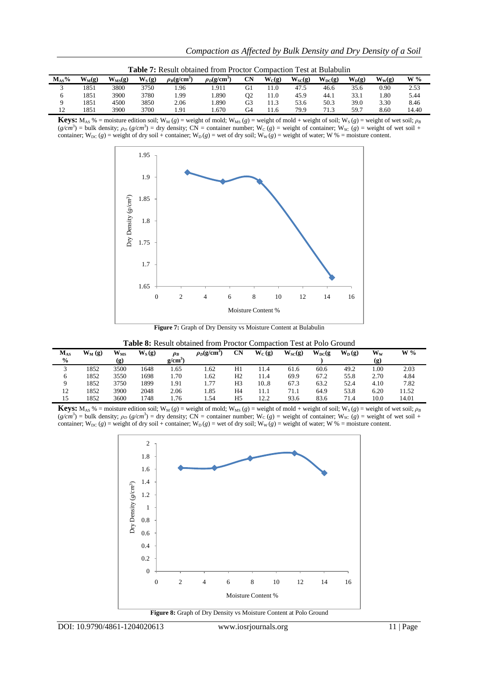| <b>Table 7:</b> Result obtained from Proctor Compaction Test at Bulabulin |          |             |          |                  |                  |           |          |             |             |            |          |       |  |
|---------------------------------------------------------------------------|----------|-------------|----------|------------------|------------------|-----------|----------|-------------|-------------|------------|----------|-------|--|
| $M_{AS}\%$                                                                | $W_M(g)$ | $W_{MS}(g)$ | $W_S(g)$ | $\rho_B(g/cm^3)$ | $\rho_D(g/cm^3)$ | <b>CN</b> | $W_C(g)$ | $W_{SC}(g)$ | $W_{DC}(g)$ | $W_{D}(g)$ | $W_w(g)$ | $W\%$ |  |
|                                                                           | 1851     | 3800        | 3750     | .96              | .911             | G1        | . 1.0    | 47.5        | 46.6        | 35.6       | 0.90     | 2.53  |  |
|                                                                           | 1851     | 3900        | 3780     | l.99             | l.890            | O2        | 11.0     | 45.9        | 44.1        | 33.1       | l.80     | 5.44  |  |
|                                                                           | 1851     | 4500        | 3850     | 2.06             | .890             | G3        | 11.3     | 53.6        | 50.3        | 39.0       | 3.30     | 8.46  |  |
| 12                                                                        | 1851     | 3900        | 3700     | 1.91             | .670             | G4        | 1.6      | 79.9        | 71.3        | 59.7       | 8.60     | 14.40 |  |

**Keys:**  $M_{AS}$ % = moisture edition soil;  $W_M$  (*g*) = weight of mold;  $W_{MS}$  (*g*) = weight of mold + weight of soil;  $W_S$  (*g*) = weight of wet soil;  $\rho_B$  $(g/cm<sup>3</sup>)$  = bulk density;  $\rho_D$  ( $g/cm<sup>3</sup>$ ) = dry density; CN = container number; W<sub>C</sub> ( $g$ ) = weight of container; W<sub>SC</sub> ( $g$ ) = weight of wet soil + container; W<sub>DC</sub> (*g*) = weight of dry soil + container; W<sub>D</sub>(*g*) = wet of dry soil; W<sub>W</sub>(*g*) = weight of water; W % = moisture content.



**Figure 7:** Graph of Dry Density vs Moisture Content at Bulabulin

| Table 8: Result obtained from Proctor Compaction Test at Polo Ground |  |  |  |
|----------------------------------------------------------------------|--|--|--|
|----------------------------------------------------------------------|--|--|--|

| $\rm M_{AS}$<br>$\frac{6}{6}$ | $W_M(g)$ | $W_{MS}$<br>(g) | $W_S(g)$ | $\rho_B$<br>g/cm <sup>3</sup> | $\rho_D(g/cm)$ | CN             | $W_C(g)$ | $W_{SC}(g)$ | $W_{DC}(g)$ | $W_D(g)$ | $W_W$<br>$\left( \mathbf{g} \right)$ | $W\%$ |  |
|-------------------------------|----------|-----------------|----------|-------------------------------|----------------|----------------|----------|-------------|-------------|----------|--------------------------------------|-------|--|
| $\sim$<br>ت                   | 1852     | 3500            | 1648     | 1.65                          | 1.62           | H1             | 11.4     | 61.6        | 60.6        | 49.2     | 1.00                                 | 2.03  |  |
| 6                             | 1852     | 3550            | 1698     | 1.70                          | 1.62           | H <sub>2</sub> | 11.4     | 69.9        | 67.2        | 55.8     | 2.70                                 | 4.84  |  |
|                               | 1852     | 3750            | 1899     | 1.91                          | 1.77           | H <sub>3</sub> | 10.8     | 67.3        | 63.2        | 52.4     | 4.10                                 | 7.82  |  |
| 12                            | 1852     | 3900            | 2048     | 2.06                          | 1.85           | H <sub>4</sub> | 11.1     | 71.1        | 64.9        | 53.8     | 6.20                                 | 11.52 |  |
| 15                            | 1852     | 3600            | 1748     | <sup>1.76</sup>               | 1.54           | H <sub>5</sub> | 12.2     | 93.6        | 83.6        | 71.4     | 10.0                                 | 14.01 |  |

**Keys:** M<sub>AS</sub> % = moisture edition soil; W<sub>M</sub> (*g*) = weight of mold; W<sub>MS</sub> (*g*) = weight of mold + weight of soil; W<sub>S</sub> (*g*) = weight of wet soil;  $\rho_B$  $(g/cm^3)$  = bulk density;  $\rho_D$  ( $g/cm^3$ ) = dry density; CN = container number; W<sub>C</sub> ( $g$ ) = weight of container; W<sub>SC</sub> ( $g$ ) = weight of wet soil + container;  $W_{DC}(g)$  = weight of dry soil + container;  $W_{D}(g)$  = wet of dry soil;  $W_{W}(g)$  = weight of water; W % = moisture content.

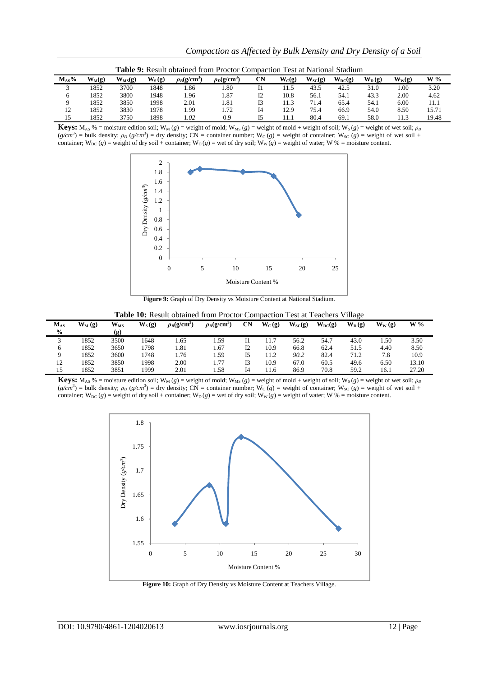| <b>Table 9:</b> Result obtained from Proctor Compaction Test at National Stadium |          |             |          |                  |                |    |          |             |             |            |          |       |
|----------------------------------------------------------------------------------|----------|-------------|----------|------------------|----------------|----|----------|-------------|-------------|------------|----------|-------|
| $M_{AS}\%$                                                                       | $W_M(g)$ | $W_{MS}(g)$ | $W_S(g)$ | $\rho_B(g/cm^3)$ | $\rho_D(g/cm)$ | CN | $W_C(g)$ | $W_{SC}(g)$ | $W_{DC}(g)$ | $W_{D}(q)$ | $W_W(g)$ | $W\%$ |
|                                                                                  | 1852     | 3700        | 1848     | l.86             | 1.80           |    | 11.5     | 43.5        | 42.5        | 31.0       | 1.00     | 3.20  |
|                                                                                  | 1852     | 3800        | 1948     | 1.96             | 1.87           |    | 10.8     | 56.1        | 54.1        | 43.3       | 2.00     | 4.62  |
|                                                                                  | 1852     | 3850        | 1998     | 2.01             | 1.81           |    | 11.3     | 71.4        | 65.4        | 54.1       | 6.00     | 11.1  |
| 12                                                                               | 1852     | 3830        | 1978     | . 99             | 1.72           | Ī4 | 12.9     | 75.4        | 66.9        | 54.0       | 8.50     | 15.71 |
| 15                                                                               | 1852     | 3750        | 1898     | .02              | 0.9            |    | 11.1     | 80.4        | 69.1        | 58.0       | 11.3     | 19.48 |

**Keys:** M<sub>AS</sub> % = moisture edition soil; W<sub>M</sub> (*g*) = weight of mold; W<sub>MS</sub> (*g*) = weight of mold + weight of soil; W<sub>S</sub> (*g*) = weight of wet soil;  $\rho_B$  $(g/cm^3)$  = bulk density;  $\rho_D$  ( $g/cm^3$ ) = dry density; CN = container number; W<sub>C</sub> ( $g$ ) = weight of container; W<sub>SC</sub> ( $g$ ) = weight of wet soil + container;  $W_{DC}(g)$  = weight of dry soil + container;  $W_D(g)$  = wet of dry soil;  $W_W(g)$  = weight of water; W % = moisture content.



Figure 9: Graph of Dry Density vs Moisture Content at National Stadium.

| $M_{AS}$<br>$\frac{6}{9}$ | $W_M(g)$ | $\mathbf{W_{MS}}$<br>(g) | $W_S(g)$ | $\rho_B$ (g/cm <sup>3</sup> | $\rho_D(g/cm^3)$ | <b>CN</b> | $W_C(g)$ | $W_{\rm SC}(g)$ | $W_{DC}(g)$ | $W_{D}(q)$ | $W_W(g)$ | $W\%$ |
|---------------------------|----------|--------------------------|----------|-----------------------------|------------------|-----------|----------|-----------------|-------------|------------|----------|-------|
| ⌒<br>◡                    | 1852     | 3500                     | 1648     | .65                         | 1.59             | 11        | 11.7     | 56.2            | 54.7        | 43.0       | 1.50     | 3.50  |
| 6                         | 1852     | 3650                     | 798      | 1.81                        | 1.67             | 12        | 10.9     | 66.8            | 62.4        | 51.5       | 4.40     | 8.50  |
|                           | 1852     | 3600                     | 748      | 1.76                        | . . 59           |           | 11.2     | 90.2            | 82.4        | 71.2       | 7.8      | 10.9  |
| 12                        | 1852     | 3850                     | 1998     | 2.00                        | 1.77             |           | 10.9     | 67.0            | 60.5        | 49.6       | 6.50     | 13.10 |
| 15                        | 1852     | 3851                     | 1999     | 2.01                        | 1.58             | I4        | 11.6     | 86.9            | 70.8        | 59.2       | 16.1     | 27.20 |

**Table 10:** Result obtained from Proctor Compaction Test at Teachers Village

**Keys:**  $M_{AS}$ % = moisture edition soil;  $W_M$  (*g*) = weight of mold;  $W_{MS}$  (*g*) = weight of mold + weight of soil;  $W_S$  (*g*) = weight of wet soil;  $\rho_B$  $(g/cm^3)$  = bulk density;  $\rho_D$  ( $g/cm^3$ ) = dry density; CN = container number; W<sub>C</sub> ( $g$ ) = weight of container; W<sub>SC</sub> ( $g$ ) = weight of wet soil + container; W<sub>DC</sub> (*g*) = weight of dry soil + container; W<sub>D</sub>(*g*) = wet of dry soil; W<sub>W</sub>(*g*) = weight of water; W % = moisture content.



Figure 10: Graph of Dry Density vs Moisture Content at Teachers Village.